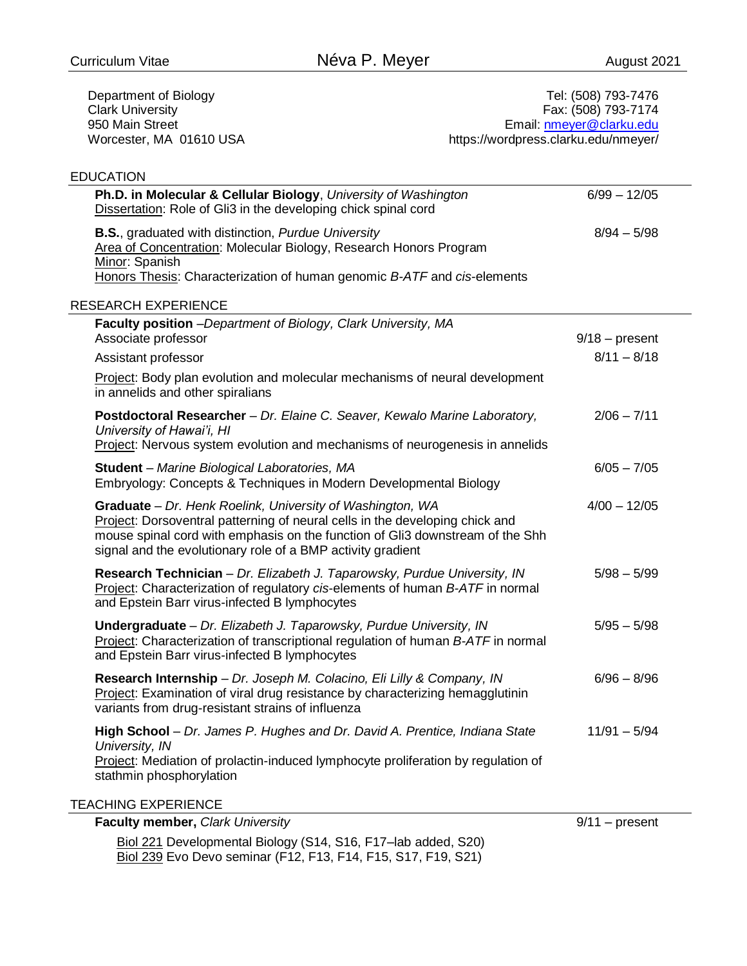Department of Biology Clark University 950 Main Street Worcester, MA 01610 USA

Tel: (508) 793-7476 Fax: (508) 793-7174 Email: [nmeyer@clarku.edu](mailto:nmeyer@clarku.edu) https://wordpress.clarku.edu/nmeyer/

## EDUCATION

| Ph.D. in Molecular & Cellular Biology, University of Washington<br>Dissertation: Role of Gli3 in the developing chick spinal cord                                                                                                                                                         | $6/99 - 12/05$   |  |
|-------------------------------------------------------------------------------------------------------------------------------------------------------------------------------------------------------------------------------------------------------------------------------------------|------------------|--|
| <b>B.S., graduated with distinction, Purdue University</b><br>Area of Concentration: Molecular Biology, Research Honors Program<br>Minor: Spanish                                                                                                                                         | $8/94 - 5/98$    |  |
| Honors Thesis: Characterization of human genomic B-ATF and cis-elements                                                                                                                                                                                                                   |                  |  |
| <b>RESEARCH EXPERIENCE</b>                                                                                                                                                                                                                                                                |                  |  |
| Faculty position -Department of Biology, Clark University, MA<br>Associate professor                                                                                                                                                                                                      | $9/18$ – present |  |
| Assistant professor                                                                                                                                                                                                                                                                       | $8/11 - 8/18$    |  |
| Project: Body plan evolution and molecular mechanisms of neural development<br>in annelids and other spiralians                                                                                                                                                                           |                  |  |
| Postdoctoral Researcher - Dr. Elaine C. Seaver, Kewalo Marine Laboratory,<br>University of Hawai'i, HI<br>Project: Nervous system evolution and mechanisms of neurogenesis in annelids                                                                                                    | $2/06 - 7/11$    |  |
| Student - Marine Biological Laboratories, MA<br>Embryology: Concepts & Techniques in Modern Developmental Biology                                                                                                                                                                         | $6/05 - 7/05$    |  |
| Graduate - Dr. Henk Roelink, University of Washington, WA<br>Project: Dorsoventral patterning of neural cells in the developing chick and<br>mouse spinal cord with emphasis on the function of Gli3 downstream of the Shh<br>signal and the evolutionary role of a BMP activity gradient | $4/00 - 12/05$   |  |
| Research Technician - Dr. Elizabeth J. Taparowsky, Purdue University, IN<br>Project: Characterization of regulatory cis-elements of human B-ATF in normal<br>and Epstein Barr virus-infected B lymphocytes                                                                                | $5/98 - 5/99$    |  |
| Undergraduate - Dr. Elizabeth J. Taparowsky, Purdue University, IN<br>Project: Characterization of transcriptional regulation of human B-ATF in normal<br>and Epstein Barr virus-infected B lymphocytes                                                                                   | $5/95 - 5/98$    |  |
| Research Internship - Dr. Joseph M. Colacino, Eli Lilly & Company, IN<br>Project: Examination of viral drug resistance by characterizing hemagglutinin<br>variants from drug-resistant strains of influenza                                                                               | $6/96 - 8/96$    |  |
| High School - Dr. James P. Hughes and Dr. David A. Prentice, Indiana State<br>University, IN<br>Project: Mediation of prolactin-induced lymphocyte proliferation by regulation of                                                                                                         | $11/91 - 5/94$   |  |
| stathmin phosphorylation                                                                                                                                                                                                                                                                  |                  |  |
| <b>TEACHING EXPERIENCE</b>                                                                                                                                                                                                                                                                |                  |  |
| Faculty member, Clark University                                                                                                                                                                                                                                                          | $9/11$ – present |  |

Biol 221 Developmental Biology (S14, S16, F17–lab added, S20) Biol 239 Evo Devo seminar (F12, F13, F14, F15, S17, F19, S21)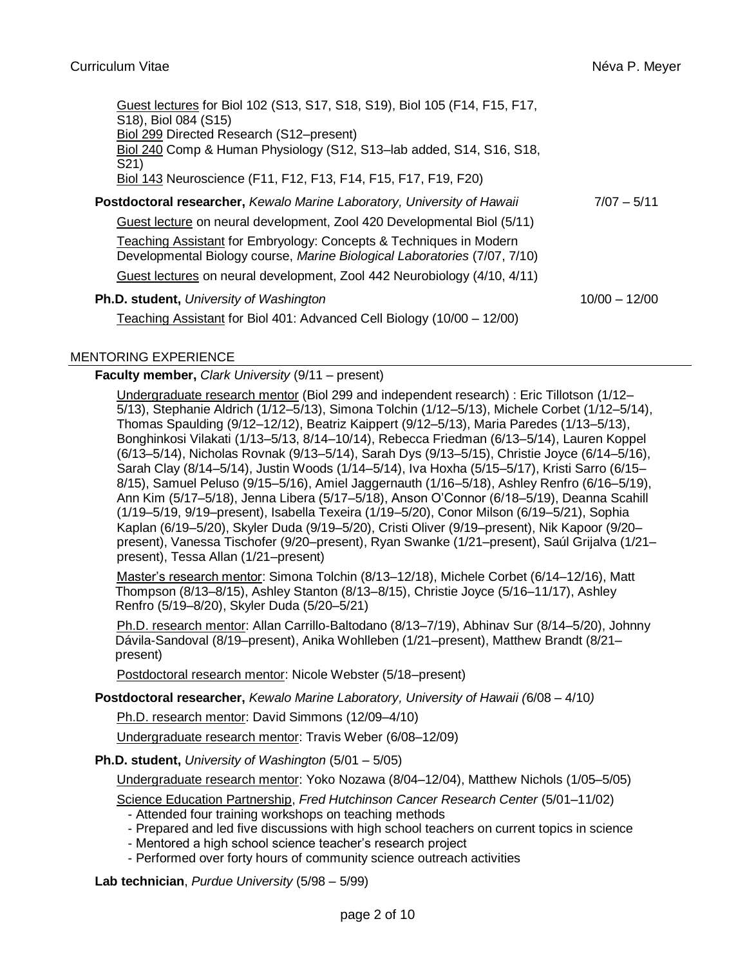|                                                                         | Guest lectures for Biol 102 (S13, S17, S18, S19), Biol 105 (F14, F15, F17,<br>S18), Biol 084 (S15)<br>Biol 299 Directed Research (S12–present)<br>Biol 240 Comp & Human Physiology (S12, S13-lab added, S14, S16, S18,<br>S <sub>21</sub> )<br>Biol 143 Neuroscience (F11, F12, F13, F14, F15, F17, F19, F20) |                 |
|-------------------------------------------------------------------------|---------------------------------------------------------------------------------------------------------------------------------------------------------------------------------------------------------------------------------------------------------------------------------------------------------------|-----------------|
| Postdoctoral researcher, Kewalo Marine Laboratory, University of Hawaii |                                                                                                                                                                                                                                                                                                               | $7/07 - 5/11$   |
|                                                                         | Guest lecture on neural development, Zool 420 Developmental Biol (5/11)                                                                                                                                                                                                                                       |                 |
|                                                                         | Teaching Assistant for Embryology: Concepts & Techniques in Modern<br>Developmental Biology course, Marine Biological Laboratories (7/07, 7/10)                                                                                                                                                               |                 |
|                                                                         | Guest lectures on neural development, Zool 442 Neurobiology (4/10, 4/11)                                                                                                                                                                                                                                      |                 |
|                                                                         | Ph.D. student, University of Washington<br>Teaching Assistant for Biol 401: Advanced Cell Biology (10/00 – 12/00)                                                                                                                                                                                             | $10/00 - 12/00$ |

## MENTORING EXPERIENCE

## **Faculty member,** *Clark University* (9/11 – present)

Undergraduate research mentor (Biol 299 and independent research) : Eric Tillotson (1/12– 5/13), Stephanie Aldrich (1/12–5/13), Simona Tolchin (1/12–5/13), Michele Corbet (1/12–5/14), Thomas Spaulding (9/12–12/12), Beatriz Kaippert (9/12–5/13), Maria Paredes (1/13–5/13), Bonghinkosi Vilakati (1/13–5/13, 8/14–10/14), Rebecca Friedman (6/13–5/14), Lauren Koppel (6/13–5/14), Nicholas Rovnak (9/13–5/14), Sarah Dys (9/13–5/15), Christie Joyce (6/14–5/16), Sarah Clay (8/14–5/14), Justin Woods (1/14–5/14), Iva Hoxha (5/15–5/17), Kristi Sarro (6/15– 8/15), Samuel Peluso (9/15–5/16), Amiel Jaggernauth (1/16–5/18), Ashley Renfro (6/16–5/19), Ann Kim (5/17–5/18), Jenna Libera (5/17–5/18), Anson O'Connor (6/18–5/19), Deanna Scahill (1/19–5/19, 9/19–present), Isabella Texeira (1/19–5/20), Conor Milson (6/19–5/21), Sophia Kaplan (6/19–5/20), Skyler Duda (9/19–5/20), Cristi Oliver (9/19–present), Nik Kapoor (9/20– present), Vanessa Tischofer (9/20–present), Ryan Swanke (1/21–present), Saúl Grijalva (1/21– present), Tessa Allan (1/21–present)

Master's research mentor: Simona Tolchin (8/13–12/18), Michele Corbet (6/14–12/16), Matt Thompson (8/13–8/15), Ashley Stanton (8/13–8/15), Christie Joyce (5/16–11/17), Ashley Renfro (5/19–8/20), Skyler Duda (5/20–5/21)

Ph.D. research mentor: Allan Carrillo-Baltodano (8/13–7/19), Abhinav Sur (8/14–5/20), Johnny Dávila-Sandoval (8/19–present), Anika Wohlleben (1/21–present), Matthew Brandt (8/21– present)

Postdoctoral research mentor: Nicole Webster (5/18–present)

**Postdoctoral researcher,** *Kewalo Marine Laboratory, University of Hawaii (*6/08 – 4/10*)*

Ph.D. research mentor: David Simmons (12/09–4/10)

Undergraduate research mentor: Travis Weber (6/08–12/09)

**Ph.D. student,** *University of Washington* (5/01 – 5/05)

Undergraduate research mentor: Yoko Nozawa (8/04–12/04), Matthew Nichols (1/05–5/05)

Science Education Partnership, *Fred Hutchinson Cancer Research Center* (5/01–11/02)

- Attended four training workshops on teaching methods
- Prepared and led five discussions with high school teachers on current topics in science
- Mentored a high school science teacher's research project
- Performed over forty hours of community science outreach activities

**Lab technician**, *Purdue University* (5/98 – 5/99)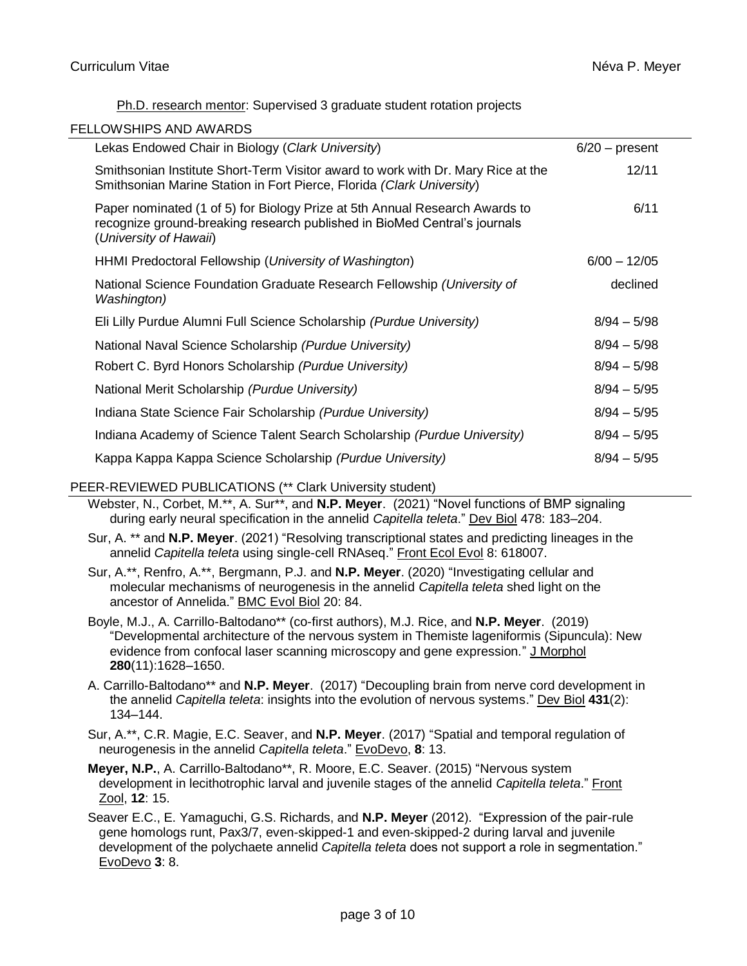## Ph.D. research mentor: Supervised 3 graduate student rotation projects

| Lekas Endowed Chair in Biology (Clark University)                                                                                                                                  | $6/20$ – present |  |
|------------------------------------------------------------------------------------------------------------------------------------------------------------------------------------|------------------|--|
| Smithsonian Institute Short-Term Visitor award to work with Dr. Mary Rice at the<br>Smithsonian Marine Station in Fort Pierce, Florida (Clark University)                          | 12/11            |  |
| Paper nominated (1 of 5) for Biology Prize at 5th Annual Research Awards to<br>recognize ground-breaking research published in BioMed Central's journals<br>(University of Hawaii) | 6/11             |  |
| HHMI Predoctoral Fellowship (University of Washington)                                                                                                                             | $6/00 - 12/05$   |  |
| National Science Foundation Graduate Research Fellowship (University of<br>Washington)                                                                                             | declined         |  |
| Eli Lilly Purdue Alumni Full Science Scholarship (Purdue University)                                                                                                               | $8/94 - 5/98$    |  |
| National Naval Science Scholarship (Purdue University)                                                                                                                             | $8/94 - 5/98$    |  |
| Robert C. Byrd Honors Scholarship (Purdue University)                                                                                                                              | $8/94 - 5/98$    |  |
| National Merit Scholarship (Purdue University)                                                                                                                                     | $8/94 - 5/95$    |  |
| Indiana State Science Fair Scholarship (Purdue University)                                                                                                                         | $8/94 - 5/95$    |  |
| Indiana Academy of Science Talent Search Scholarship (Purdue University)                                                                                                           | $8/94 - 5/95$    |  |
| Kappa Kappa Kappa Science Scholarship (Purdue University)                                                                                                                          | $8/94 - 5/95$    |  |

# PEER-REVIEWED PUBLICATIONS (\*\* Clark University student)

- Webster, N., Corbet, M.\*\*, A. Sur\*\*, and **N.P. Meyer**. (2021) "Novel functions of BMP signaling during early neural specification in the annelid *Capitella teleta*." Dev Biol 478: 183–204.
- Sur, A. \*\* and **N.P. Meyer**. (2021) "Resolving transcriptional states and predicting lineages in the annelid *Capitella teleta* using single-cell RNAseq." Front Ecol Evol 8: 618007.
- Sur, A.\*\*, Renfro, A.\*\*, Bergmann, P.J. and **N.P. Meyer**. (2020) "Investigating cellular and molecular mechanisms of neurogenesis in the annelid *Capitella teleta* shed light on the ancestor of Annelida." BMC Evol Biol 20: 84.
- Boyle, M.J., A. Carrillo-Baltodano\*\* (co-first authors), M.J. Rice, and **N.P. Meyer**. (2019) "Developmental architecture of the nervous system in Themiste lageniformis (Sipuncula): New evidence from confocal laser scanning microscopy and gene expression." J Morphol **280**(11):1628–1650.
- A. Carrillo-Baltodano\*\* and **N.P. Meyer**. (2017) "Decoupling brain from nerve cord development in the annelid *Capitella teleta*: insights into the evolution of nervous systems." Dev Biol **431**(2): 134–144.
- Sur, A.\*\*, C.R. Magie, E.C. Seaver, and **N.P. Meyer**. (2017) "Spatial and temporal regulation of neurogenesis in the annelid *Capitella teleta*." EvoDevo, **8**: 13.
- **Meyer, N.P.**, A. Carrillo-Baltodano\*\*, R. Moore, E.C. Seaver. (2015) "Nervous system development in lecithotrophic larval and juvenile stages of the annelid *Capitella teleta*." Front Zool, **12**: 15.
- Seaver E.C., E. Yamaguchi, G.S. Richards, and **N.P. Meyer** (2012). "Expression of the pair-rule gene homologs runt, Pax3/7, even-skipped-1 and even-skipped-2 during larval and juvenile development of the polychaete annelid *Capitella teleta* does not support a role in segmentation." EvoDevo **3**: 8.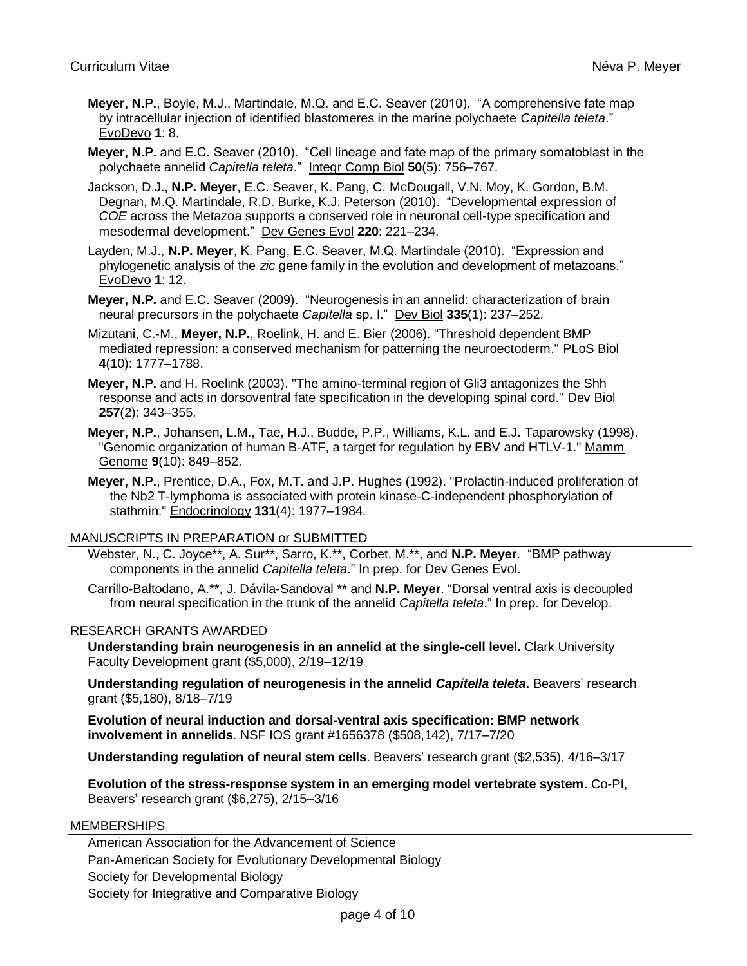- **Meyer, N.P.**, Boyle, M.J., Martindale, M.Q. and E.C. Seaver (2010). "A comprehensive fate map by intracellular injection of identified blastomeres in the marine polychaete *Capitella teleta*." EvoDevo **1**: 8.
- **Meyer, N.P.** and E.C. Seaver (2010). "Cell lineage and fate map of the primary somatoblast in the polychaete annelid *Capitella teleta*." Integr Comp Biol **50**(5): 756–767.
- Jackson, D.J., **N.P. Meyer**, E.C. Seaver, K. Pang, C. McDougall, V.N. Moy, K. Gordon, B.M. Degnan, M.Q. Martindale, R.D. Burke, K.J. Peterson (2010). "Developmental expression of *COE* across the Metazoa supports a conserved role in neuronal cell-type specification and mesodermal development." Dev Genes Evol **220**: 221–234.
- Layden, M.J., **N.P. Meyer**, K. Pang, E.C. Seaver, M.Q. Martindale (2010). "Expression and phylogenetic analysis of the *zic* gene family in the evolution and development of metazoans." EvoDevo **1**: 12.
- **Meyer, N.P.** and E.C. Seaver (2009). "Neurogenesis in an annelid: characterization of brain neural precursors in the polychaete *Capitella* sp. I." Dev Biol **335**(1): 237–252.
- Mizutani, C.-M., **Meyer, N.P.**, Roelink, H. and E. Bier (2006). "Threshold dependent BMP mediated repression: a conserved mechanism for patterning the neuroectoderm." PLoS Biol **4**(10): 1777–1788.
- **Meyer, N.P.** and H. Roelink (2003). "The amino-terminal region of Gli3 antagonizes the Shh response and acts in dorsoventral fate specification in the developing spinal cord." Dev Biol **257**(2): 343–355.
- **Meyer, N.P.**, Johansen, L.M., Tae, H.J., Budde, P.P., Williams, K.L. and E.J. Taparowsky (1998). "Genomic organization of human B-ATF, a target for regulation by EBV and HTLV-1." Mamm Genome **9**(10): 849–852.
- **Meyer, N.P.**, Prentice, D.A., Fox, M.T. and J.P. Hughes (1992). "Prolactin-induced proliferation of the Nb2 T-lymphoma is associated with protein kinase-C-independent phosphorylation of stathmin." Endocrinology **131**(4): 1977–1984.

## MANUSCRIPTS IN PREPARATION or SUBMITTED

- Webster, N., C. Joyce\*\*, A. Sur\*\*, Sarro, K.\*\*, Corbet, M.\*\*, and **N.P. Meyer**. "BMP pathway components in the annelid *Capitella teleta*." In prep. for Dev Genes Evol.
- Carrillo-Baltodano, A.\*\*, J. Dávila-Sandoval \*\* and **N.P. Meyer**. "Dorsal ventral axis is decoupled from neural specification in the trunk of the annelid *Capitella teleta*." In prep. for Develop.

## RESEARCH GRANTS AWARDED

**Understanding brain neurogenesis in an annelid at the single-cell level.** Clark University Faculty Development grant (\$5,000), 2/19–12/19

**Understanding regulation of neurogenesis in the annelid** *Capitella teleta***.** Beavers' research grant (\$5,180), 8/18–7/19

**Evolution of neural induction and dorsal-ventral axis specification: BMP network involvement in annelids**. NSF IOS grant #1656378 (\$508,142), 7/17–7/20

**Understanding regulation of neural stem cells**. Beavers' research grant (\$2,535), 4/16–3/17

**Evolution of the stress-response system in an emerging model vertebrate system**. Co-PI, Beavers' research grant (\$6,275), 2/15–3/16

## MEMBERSHIPS

American Association for the Advancement of Science Pan-American Society for Evolutionary Developmental Biology Society for Developmental Biology Society for Integrative and Comparative Biology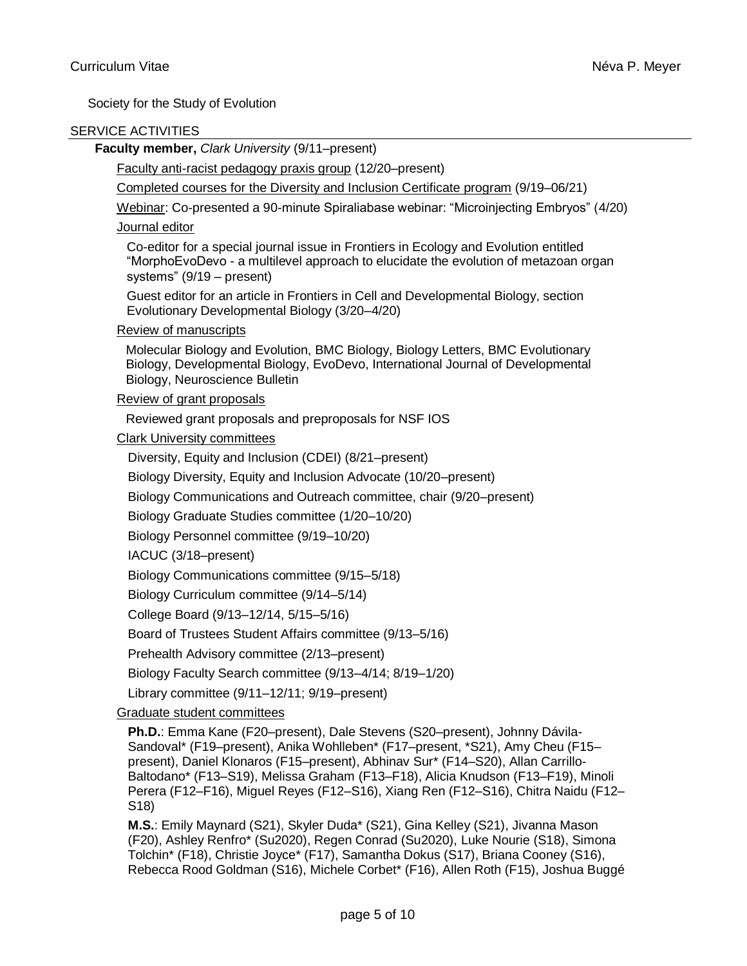Society for the Study of Evolution

## SERVICE ACTIVITIES

## **Faculty member,** *Clark University* (9/11–present)

Faculty anti-racist pedagogy praxis group (12/20–present)

Completed courses for the Diversity and Inclusion Certificate program (9/19–06/21)

Webinar: Co-presented a 90-minute Spiraliabase webinar: "Microinjecting Embryos" (4/20) Journal editor

Co-editor for a special journal issue in Frontiers in Ecology and Evolution entitled "MorphoEvoDevo - a multilevel approach to elucidate the evolution of metazoan organ systems" (9/19 – present)

Guest editor for an article in Frontiers in Cell and Developmental Biology, section Evolutionary Developmental Biology (3/20–4/20)

Review of manuscripts

Molecular Biology and Evolution, BMC Biology, Biology Letters, BMC Evolutionary Biology, Developmental Biology, EvoDevo, International Journal of Developmental Biology, Neuroscience Bulletin

Review of grant proposals

Reviewed grant proposals and preproposals for NSF IOS

Clark University committees

Diversity, Equity and Inclusion (CDEI) (8/21–present)

Biology Diversity, Equity and Inclusion Advocate (10/20–present)

Biology Communications and Outreach committee, chair (9/20–present)

Biology Graduate Studies committee (1/20–10/20)

Biology Personnel committee (9/19–10/20)

IACUC (3/18–present)

Biology Communications committee (9/15–5/18)

Biology Curriculum committee (9/14–5/14)

College Board (9/13–12/14, 5/15–5/16)

Board of Trustees Student Affairs committee (9/13–5/16)

Prehealth Advisory committee (2/13–present)

Biology Faculty Search committee (9/13–4/14; 8/19–1/20)

Library committee (9/11–12/11; 9/19–present)

## Graduate student committees

**Ph.D.**: Emma Kane (F20–present), Dale Stevens (S20–present), Johnny Dávila-Sandoval\* (F19–present), Anika Wohlleben\* (F17–present, \*S21), Amy Cheu (F15– present), Daniel Klonaros (F15–present), Abhinav Sur\* (F14–S20), Allan Carrillo-Baltodano\* (F13–S19), Melissa Graham (F13–F18), Alicia Knudson (F13–F19), Minoli Perera (F12–F16), Miguel Reyes (F12–S16), Xiang Ren (F12–S16), Chitra Naidu (F12– S18)

**M.S.**: Emily Maynard (S21), Skyler Duda\* (S21), Gina Kelley (S21), Jivanna Mason (F20), Ashley Renfro\* (Su2020), Regen Conrad (Su2020), Luke Nourie (S18), Simona Tolchin\* (F18), Christie Joyce\* (F17), Samantha Dokus (S17), Briana Cooney (S16), Rebecca Rood Goldman (S16), Michele Corbet\* (F16), Allen Roth (F15), Joshua Buggé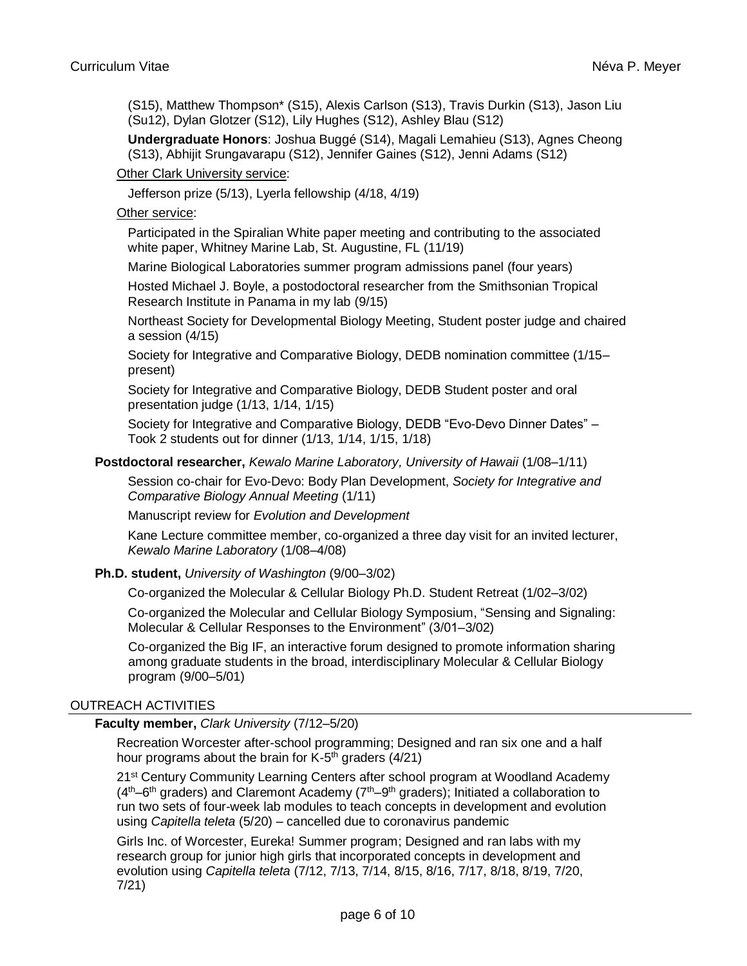(S15), Matthew Thompson\* (S15), Alexis Carlson (S13), Travis Durkin (S13), Jason Liu (Su12), Dylan Glotzer (S12), Lily Hughes (S12), Ashley Blau (S12)

**Undergraduate Honors**: Joshua Buggé (S14), Magali Lemahieu (S13), Agnes Cheong (S13), Abhijit Srungavarapu (S12), Jennifer Gaines (S12), Jenni Adams (S12)

Other Clark University service:

Jefferson prize (5/13), Lyerla fellowship (4/18, 4/19)

### Other service:

Participated in the Spiralian White paper meeting and contributing to the associated white paper, Whitney Marine Lab, St. Augustine, FL (11/19)

Marine Biological Laboratories summer program admissions panel (four years)

Hosted Michael J. Boyle, a postodoctoral researcher from the Smithsonian Tropical Research Institute in Panama in my lab (9/15)

Northeast Society for Developmental Biology Meeting, Student poster judge and chaired a session (4/15)

Society for Integrative and Comparative Biology, DEDB nomination committee (1/15– present)

Society for Integrative and Comparative Biology, DEDB Student poster and oral presentation judge (1/13, 1/14, 1/15)

Society for Integrative and Comparative Biology, DEDB "Evo-Devo Dinner Dates" – Took 2 students out for dinner (1/13, 1/14, 1/15, 1/18)

#### **Postdoctoral researcher,** *Kewalo Marine Laboratory, University of Hawaii* (1/08–1/11)

Session co-chair for Evo-Devo: Body Plan Development, *Society for Integrative and Comparative Biology Annual Meeting* (1/11)

Manuscript review for *Evolution and Development*

Kane Lecture committee member, co-organized a three day visit for an invited lecturer, *Kewalo Marine Laboratory* (1/08–4/08)

## **Ph.D. student,** *University of Washington* (9/00–3/02)

Co-organized the Molecular & Cellular Biology Ph.D. Student Retreat (1/02–3/02)

Co-organized the Molecular and Cellular Biology Symposium, "Sensing and Signaling: Molecular & Cellular Responses to the Environment" (3/01–3/02)

Co-organized the Big IF, an interactive forum designed to promote information sharing among graduate students in the broad, interdisciplinary Molecular & Cellular Biology program (9/00–5/01)

## OUTREACH ACTIVITIES

### **Faculty member,** *Clark University* (7/12–5/20)

Recreation Worcester after-school programming; Designed and ran six one and a half hour programs about the brain for K-5<sup>th</sup> graders (4/21)

21<sup>st</sup> Century Community Learning Centers after school program at Woodland Academy  $(4<sup>th</sup>-6<sup>th</sup>$  graders) and Claremont Academy ( $7<sup>th</sup>-9<sup>th</sup>$  graders); Initiated a collaboration to run two sets of four-week lab modules to teach concepts in development and evolution using *Capitella teleta* (5/20) – cancelled due to coronavirus pandemic

Girls Inc. of Worcester, Eureka! Summer program; Designed and ran labs with my research group for junior high girls that incorporated concepts in development and evolution using *Capitella teleta* (7/12, 7/13, 7/14, 8/15, 8/16, 7/17, 8/18, 8/19, 7/20, 7/21)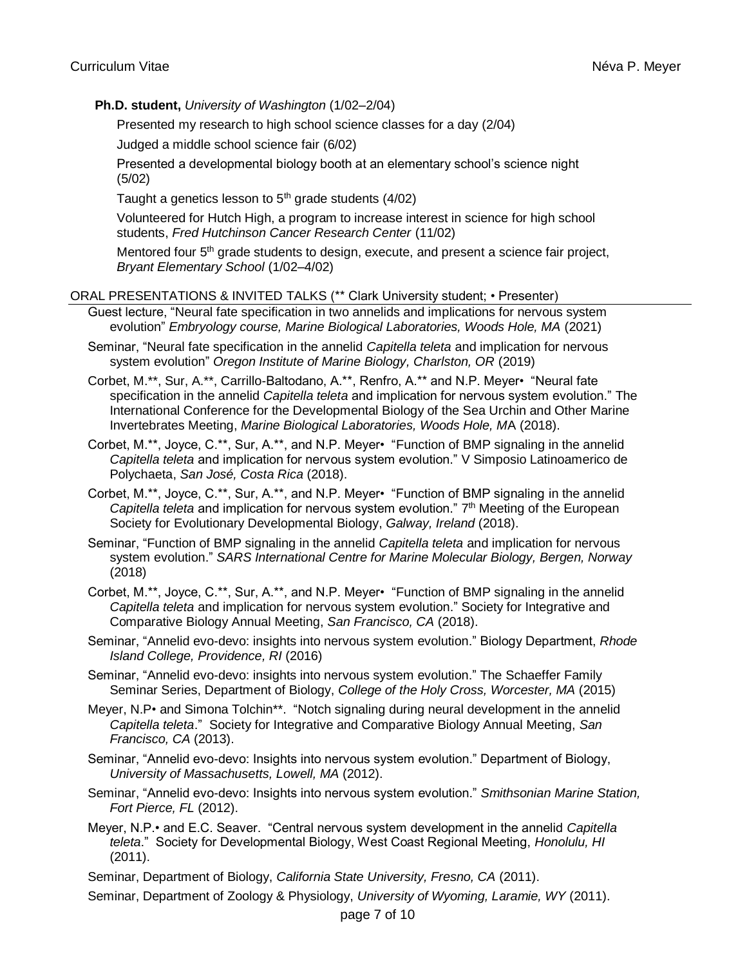**Ph.D. student,** *University of Washington* (1/02–2/04)

Presented my research to high school science classes for a day (2/04)

Judged a middle school science fair (6/02)

Presented a developmental biology booth at an elementary school's science night (5/02)

Taught a genetics lesson to  $5<sup>th</sup>$  grade students (4/02)

Volunteered for Hutch High, a program to increase interest in science for high school students, *Fred Hutchinson Cancer Research Center* (11/02)

Mentored four 5<sup>th</sup> grade students to design, execute, and present a science fair project, *Bryant Elementary School* (1/02–4/02)

## ORAL PRESENTATIONS & INVITED TALKS (\*\* Clark University student; • Presenter)

Guest lecture, "Neural fate specification in two annelids and implications for nervous system evolution" *Embryology course, Marine Biological Laboratories, Woods Hole, MA* (2021)

Seminar, "Neural fate specification in the annelid *Capitella teleta* and implication for nervous system evolution" *Oregon Institute of Marine Biology, Charlston, OR* (2019)

- Corbet, M.\*\*, Sur, A.\*\*, Carrillo-Baltodano, A.\*\*, Renfro, A.\*\* and N.P. Meyer• "Neural fate specification in the annelid *Capitella teleta* and implication for nervous system evolution." The International Conference for the Developmental Biology of the Sea Urchin and Other Marine Invertebrates Meeting, *Marine Biological Laboratories, Woods Hole, M*A (2018).
- Corbet, M.\*\*, Joyce, C.\*\*, Sur, A.\*\*, and N.P. Meyer• "Function of BMP signaling in the annelid *Capitella teleta* and implication for nervous system evolution." V Simposio Latinoamerico de Polychaeta, *San José, Costa Rica* (2018).
- Corbet, M.\*\*, Joyce, C.\*\*, Sur, A.\*\*, and N.P. Meyer• "Function of BMP signaling in the annelid Capitella teleta and implication for nervous system evolution." 7<sup>th</sup> Meeting of the European Society for Evolutionary Developmental Biology, *Galway, Ireland* (2018).
- Seminar, "Function of BMP signaling in the annelid *Capitella teleta* and implication for nervous system evolution." *SARS International Centre for Marine Molecular Biology, Bergen, Norway* (2018)
- Corbet, M.\*\*, Joyce, C.\*\*, Sur, A.\*\*, and N.P. Meyer• "Function of BMP signaling in the annelid *Capitella teleta* and implication for nervous system evolution." Society for Integrative and Comparative Biology Annual Meeting, *San Francisco, CA* (2018).
- Seminar, "Annelid evo-devo: insights into nervous system evolution." Biology Department, *Rhode Island College, Providence, RI* (2016)
- Seminar, "Annelid evo-devo: insights into nervous system evolution." The Schaeffer Family Seminar Series, Department of Biology, *College of the Holy Cross, Worcester, MA* (2015)
- Meyer, N.P• and Simona Tolchin\*\*. "Notch signaling during neural development in the annelid *Capitella teleta*." Society for Integrative and Comparative Biology Annual Meeting, *San Francisco, CA* (2013).
- Seminar, "Annelid evo-devo: Insights into nervous system evolution." Department of Biology, *University of Massachusetts, Lowell, MA* (2012).
- Seminar, "Annelid evo-devo: Insights into nervous system evolution." *Smithsonian Marine Station, Fort Pierce, FL* (2012).
- Meyer, N.P.• and E.C. Seaver. "Central nervous system development in the annelid *Capitella teleta*." Society for Developmental Biology, West Coast Regional Meeting, *Honolulu, HI* (2011).
- Seminar, Department of Biology, *California State University, Fresno, CA* (2011).

Seminar, Department of Zoology & Physiology, *University of Wyoming, Laramie, WY* (2011).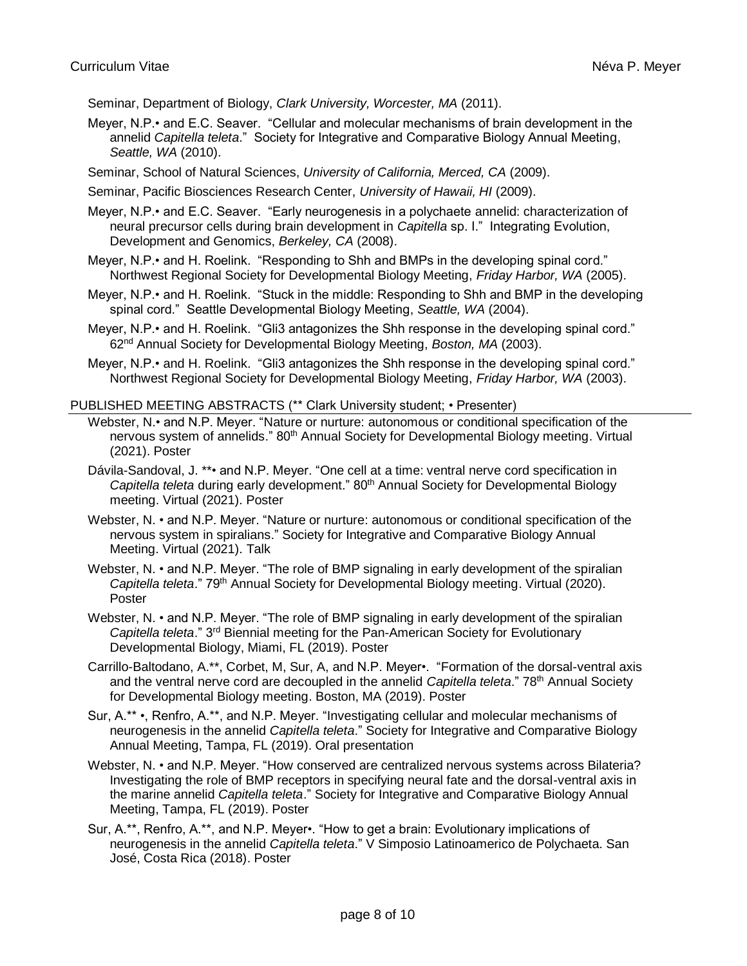Seminar, Department of Biology, *Clark University, Worcester, MA* (2011).

Meyer, N.P.• and E.C. Seaver. "Cellular and molecular mechanisms of brain development in the annelid *Capitella teleta*." Society for Integrative and Comparative Biology Annual Meeting, *Seattle, WA* (2010).

Seminar, School of Natural Sciences, *University of California, Merced, CA* (2009).

Seminar, Pacific Biosciences Research Center, *University of Hawaii, HI* (2009).

Meyer, N.P.• and E.C. Seaver. "Early neurogenesis in a polychaete annelid: characterization of neural precursor cells during brain development in *Capitella* sp. I." Integrating Evolution, Development and Genomics, *Berkeley, CA* (2008).

- Meyer, N.P.• and H. Roelink. "Responding to Shh and BMPs in the developing spinal cord." Northwest Regional Society for Developmental Biology Meeting, *Friday Harbor, WA* (2005).
- Meyer, N.P.• and H. Roelink. "Stuck in the middle: Responding to Shh and BMP in the developing spinal cord." Seattle Developmental Biology Meeting, *Seattle, WA* (2004).
- Meyer, N.P.• and H. Roelink. "Gli3 antagonizes the Shh response in the developing spinal cord." 62nd Annual Society for Developmental Biology Meeting, *Boston, MA* (2003).

Meyer, N.P.• and H. Roelink. "Gli3 antagonizes the Shh response in the developing spinal cord." Northwest Regional Society for Developmental Biology Meeting, *Friday Harbor, WA* (2003).

#### PUBLISHED MEETING ABSTRACTS (\*\* Clark University student; • Presenter)

Webster, N.• and N.P. Meyer. "Nature or nurture: autonomous or conditional specification of the nervous system of annelids." 80<sup>th</sup> Annual Society for Developmental Biology meeting. Virtual (2021). Poster

Dávila-Sandoval, J. \*\*• and N.P. Meyer. "One cell at a time: ventral nerve cord specification in *Capitella teleta* during early development." 80th Annual Society for Developmental Biology meeting. Virtual (2021). Poster

Webster, N. • and N.P. Meyer. "Nature or nurture: autonomous or conditional specification of the nervous system in spiralians." Society for Integrative and Comparative Biology Annual Meeting. Virtual (2021). Talk

Webster, N. • and N.P. Meyer. "The role of BMP signaling in early development of the spiralian Capitella teleta." 79<sup>th</sup> Annual Society for Developmental Biology meeting. Virtual (2020). Poster

Webster, N. • and N.P. Meyer. "The role of BMP signaling in early development of the spiralian *Capitella teleta*." 3rd Biennial meeting for the Pan-American Society for Evolutionary Developmental Biology, Miami, FL (2019). Poster

Carrillo-Baltodano, A.\*\*, Corbet, M, Sur, A, and N.P. Meyer•. "Formation of the dorsal-ventral axis and the ventral nerve cord are decoupled in the annelid *Capitella teleta*." 78th Annual Society for Developmental Biology meeting. Boston, MA (2019). Poster

Sur, A.\*\* •, Renfro, A.\*\*, and N.P. Meyer. "Investigating cellular and molecular mechanisms of neurogenesis in the annelid *Capitella teleta*." Society for Integrative and Comparative Biology Annual Meeting, Tampa, FL (2019). Oral presentation

Webster, N. • and N.P. Meyer. "How conserved are centralized nervous systems across Bilateria? Investigating the role of BMP receptors in specifying neural fate and the dorsal-ventral axis in the marine annelid *Capitella teleta*." Society for Integrative and Comparative Biology Annual Meeting, Tampa, FL (2019). Poster

Sur, A.\*\*, Renfro, A.\*\*, and N.P. Meyer•. "How to get a brain: Evolutionary implications of neurogenesis in the annelid *Capitella teleta*." V Simposio Latinoamerico de Polychaeta. San José, Costa Rica (2018). Poster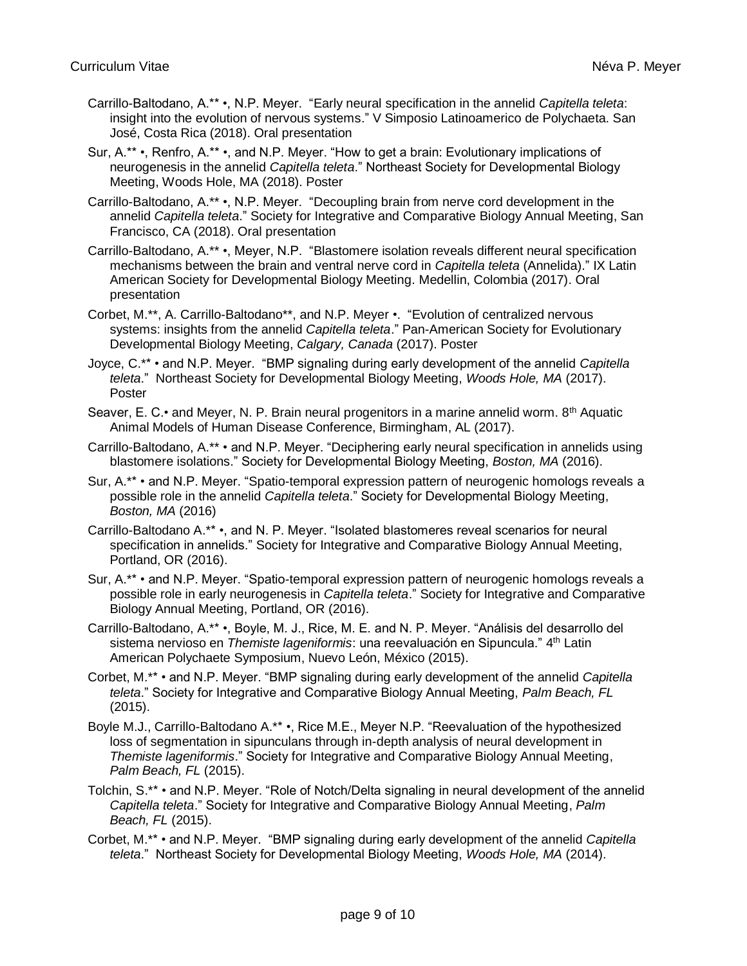- Carrillo-Baltodano, A.\*\* •, N.P. Meyer. "Early neural specification in the annelid *Capitella teleta*: insight into the evolution of nervous systems." V Simposio Latinoamerico de Polychaeta. San José, Costa Rica (2018). Oral presentation
- Sur, A.\*\* •, Renfro, A.\*\* •, and N.P. Meyer. "How to get a brain: Evolutionary implications of neurogenesis in the annelid *Capitella teleta*." Northeast Society for Developmental Biology Meeting, Woods Hole, MA (2018). Poster
- Carrillo-Baltodano, A.\*\* •, N.P. Meyer. "Decoupling brain from nerve cord development in the annelid *Capitella teleta*." Society for Integrative and Comparative Biology Annual Meeting, San Francisco, CA (2018). Oral presentation
- Carrillo-Baltodano, A.\*\* •, Meyer, N.P. "Blastomere isolation reveals different neural specification mechanisms between the brain and ventral nerve cord in *Capitella teleta* (Annelida)." IX Latin American Society for Developmental Biology Meeting. Medellin, Colombia (2017). Oral presentation
- Corbet, M.\*\*, A. Carrillo-Baltodano\*\*, and N.P. Meyer •. "Evolution of centralized nervous systems: insights from the annelid *Capitella teleta*." Pan-American Society for Evolutionary Developmental Biology Meeting, *Calgary, Canada* (2017). Poster
- Joyce, C.\*\* and N.P. Meyer. "BMP signaling during early development of the annelid *Capitella teleta*." Northeast Society for Developmental Biology Meeting, *Woods Hole, MA* (2017). Poster
- Seaver, E. C.• and Meyer, N. P. Brain neural progenitors in a marine annelid worm.  $8<sup>th</sup>$  Aquatic Animal Models of Human Disease Conference, Birmingham, AL (2017).
- Carrillo-Baltodano, A.\*\* and N.P. Meyer. "Deciphering early neural specification in annelids using blastomere isolations." Society for Developmental Biology Meeting, *Boston, MA* (2016).
- Sur, A.\*\* and N.P. Meyer. "Spatio-temporal expression pattern of neurogenic homologs reveals a possible role in the annelid *Capitella teleta*." Society for Developmental Biology Meeting, *Boston, MA* (2016)
- Carrillo-Baltodano A.\*\* •, and N. P. Meyer. "Isolated blastomeres reveal scenarios for neural specification in annelids." Society for Integrative and Comparative Biology Annual Meeting, Portland, OR (2016).
- Sur, A.\*\* and N.P. Meyer. "Spatio-temporal expression pattern of neurogenic homologs reveals a possible role in early neurogenesis in *Capitella teleta*." Society for Integrative and Comparative Biology Annual Meeting, Portland, OR (2016).
- Carrillo-Baltodano, A.\*\* •, Boyle, M. J., Rice, M. E. and N. P. Meyer. "Análisis del desarrollo del sistema nervioso en *Themiste lageniformis*: una reevaluación en Sipuncula." 4<sup>th</sup> Latin American Polychaete Symposium, Nuevo León, México (2015).
- Corbet, M.\*\* and N.P. Meyer. "BMP signaling during early development of the annelid *Capitella teleta*." Society for Integrative and Comparative Biology Annual Meeting, *Palm Beach, FL* (2015).
- Boyle M.J., Carrillo-Baltodano A.\*\* •, Rice M.E., Meyer N.P. "Reevaluation of the hypothesized loss of segmentation in sipunculans through in-depth analysis of neural development in *Themiste lageniformis*." Society for Integrative and Comparative Biology Annual Meeting, *Palm Beach, FL* (2015).
- Tolchin, S.\*\* and N.P. Meyer. "Role of Notch/Delta signaling in neural development of the annelid *Capitella teleta*." Society for Integrative and Comparative Biology Annual Meeting, *Palm Beach, FL* (2015).
- Corbet, M.\*\* and N.P. Meyer. "BMP signaling during early development of the annelid *Capitella teleta*." Northeast Society for Developmental Biology Meeting, *Woods Hole, MA* (2014).